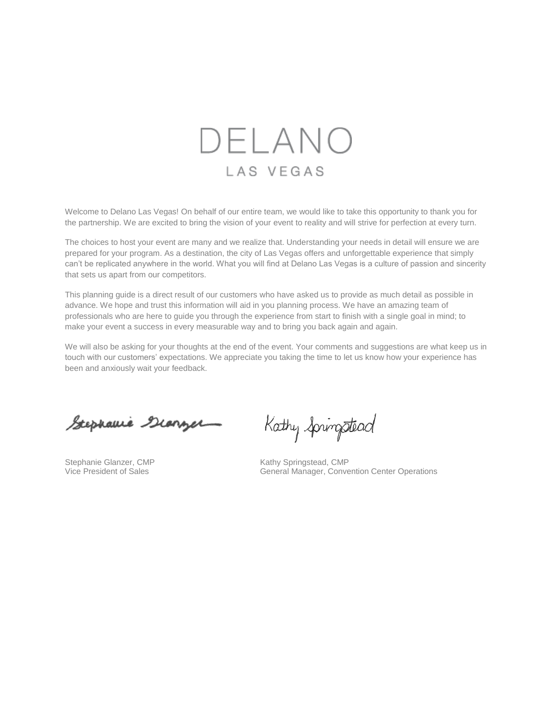

Welcome to Delano Las Vegas! On behalf of our entire team, we would like to take this opportunity to thank you for the partnership. We are excited to bring the vision of your event to reality and will strive for perfection at every turn.

The choices to host your event are many and we realize that. Understanding your needs in detail will ensure we are prepared for your program. As a destination, the city of Las Vegas offers and unforgettable experience that simply can't be replicated anywhere in the world. What you will find at Delano Las Vegas is a culture of passion and sincerity that sets us apart from our competitors.

This planning guide is a direct result of our customers who have asked us to provide as much detail as possible in advance. We hope and trust this information will aid in you planning process. We have an amazing team of professionals who are here to guide you through the experience from start to finish with a single goal in mind; to make your event a success in every measurable way and to bring you back again and again.

We will also be asking for your thoughts at the end of the event. Your comments and suggestions are what keep us in touch with our customers' expectations. We appreciate you taking the time to let us know how your experience has been and anxiously wait your feedback.

Stephanie Giorger

Kathy Springstead

Stephanie Glanzer, CMP<br>
Vice President of Sales<br>
Vice President of Sales<br>
Conve General Manager, Convention Center Operations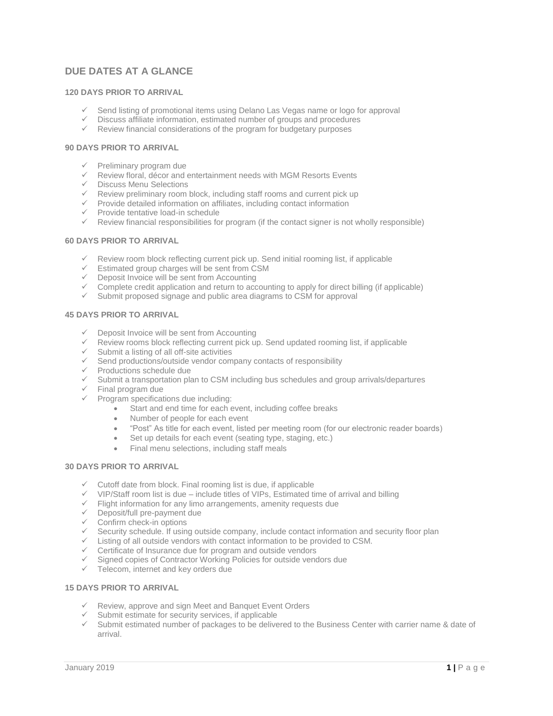# **DUE DATES AT A GLANCE**

# **120 DAYS PRIOR TO ARRIVAL**

- ✓ Send listing of promotional items using Delano Las Vegas name or logo for approval
- ✓ Discuss affiliate information, estimated number of groups and procedures
- ✓ Review financial considerations of the program for budgetary purposes

# **90 DAYS PRIOR TO ARRIVAL**

- ✓ Preliminary program due
- ✓ Review floral, décor and entertainment needs with MGM Resorts Events
- ✓ Discuss Menu Selections
- ✓ Review preliminary room block, including staff rooms and current pick up
- ✓ Provide detailed information on affiliates, including contact information
- ✓ Provide tentative load-in schedule
- $\checkmark$  Review financial responsibilities for program (if the contact signer is not wholly responsible)

# **60 DAYS PRIOR TO ARRIVAL**

- ✓ Review room block reflecting current pick up. Send initial rooming list, if applicable
- ✓ Estimated group charges will be sent from CSM
- ✓ Deposit Invoice will be sent from Accounting
- $\checkmark$  Complete credit application and return to accounting to apply for direct billing (if applicable)
- ✓ Submit proposed signage and public area diagrams to CSM for approval

#### **45 DAYS PRIOR TO ARRIVAL**

- ✓ Deposit Invoice will be sent from Accounting
- $\checkmark$  Review rooms block reflecting current pick up. Send updated rooming list, if applicable
- ✓ Submit a listing of all off-site activities
- $\checkmark$  Send productions/outside vendor company contacts of responsibility
- ✓ Productions schedule due
- ✓ Submit a transportation plan to CSM including bus schedules and group arrivals/departures
- $\checkmark$  Final program due
- $\checkmark$  Program specifications due including:
	- Start and end time for each event, including coffee breaks
	- Number of people for each event
	- "Post" As title for each event, listed per meeting room (for our electronic reader boards)
	- Set up details for each event (seating type, staging, etc.)
	- Final menu selections, including staff meals

# **30 DAYS PRIOR TO ARRIVAL**

- $\checkmark$  Cutoff date from block. Final rooming list is due, if applicable
- $\checkmark$  VIP/Staff room list is due include titles of VIPs, Estimated time of arrival and billing
- $\checkmark$  Flight information for any limo arrangements, amenity requests due
- ✓ Deposit/full pre-payment due
- ✓ Confirm check-in options
- ✓ Security schedule. If using outside company, include contact information and security floor plan
- ✓ Listing of all outside vendors with contact information to be provided to CSM.
- ✓ Certificate of Insurance due for program and outside vendors
- ✓ Signed copies of Contractor Working Policies for outside vendors due
- ✓ Telecom, internet and key orders due

# **15 DAYS PRIOR TO ARRIVAL**

- ✓ Review, approve and sign Meet and Banquet Event Orders
- ✓ Submit estimate for security services, if applicable
- ✓ Submit estimated number of packages to be delivered to the Business Center with carrier name & date of arrival.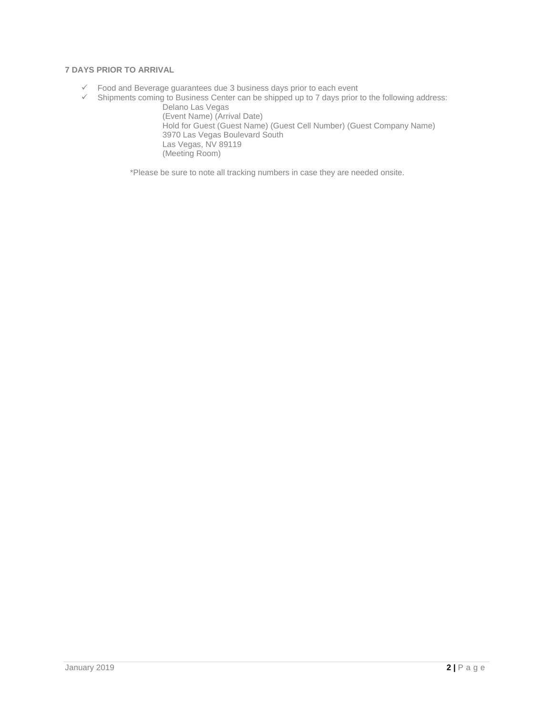# **7 DAYS PRIOR TO ARRIVAL**

- ✓ Food and Beverage guarantees due 3 business days prior to each event
- ✓ Shipments coming to Business Center can be shipped up to 7 days prior to the following address: Delano Las Vegas

(Event Name) (Arrival Date) Hold for Guest (Guest Name) (Guest Cell Number) (Guest Company Name) 3970 Las Vegas Boulevard South Las Vegas, NV 89119 (Meeting Room)

\*Please be sure to note all tracking numbers in case they are needed onsite.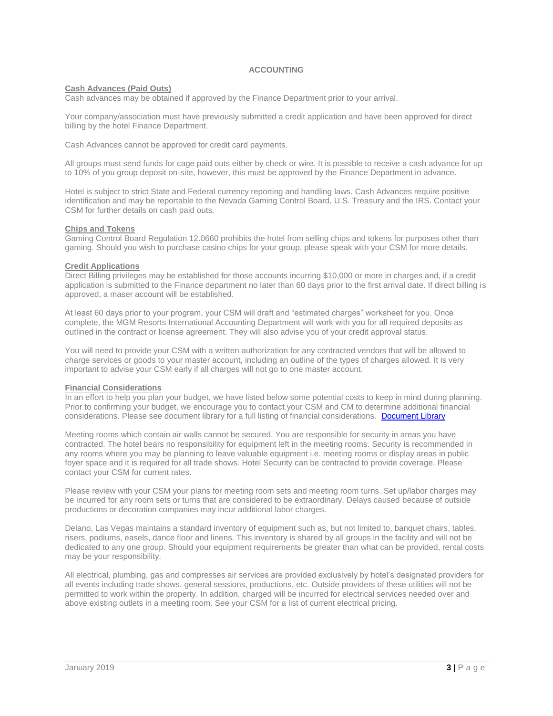# **ACCOUNTING**

# **Cash Advances (Paid Outs)**

Cash advances may be obtained if approved by the Finance Department prior to your arrival.

Your company/association must have previously submitted a credit application and have been approved for direct billing by the hotel Finance Department.

Cash Advances cannot be approved for credit card payments.

All groups must send funds for cage paid outs either by check or wire. It is possible to receive a cash advance for up to 10% of you group deposit on-site, however, this must be approved by the Finance Department in advance.

Hotel is subject to strict State and Federal currency reporting and handling laws. Cash Advances require positive identification and may be reportable to the Nevada Gaming Control Board, U.S. Treasury and the IRS. Contact your CSM for further details on cash paid outs.

#### **Chips and Tokens**

Gaming Control Board Regulation 12.0660 prohibits the hotel from selling chips and tokens for purposes other than gaming. Should you wish to purchase casino chips for your group, please speak with your CSM for more details.

## **Credit Applications**

Direct Billing privileges may be established for those accounts incurring \$10,000 or more in charges and, if a credit application is submitted to the Finance department no later than 60 days prior to the first arrival date. If direct billing is approved, a maser account will be established.

At least 60 days prior to your program, your CSM will draft and "estimated charges" worksheet for you. Once complete, the MGM Resorts International Accounting Department will work with you for all required deposits as outlined in the contract or license agreement. They will also advise you of your credit approval status.

You will need to provide your CSM with a written authorization for any contracted vendors that will be allowed to charge services or goods to your master account, including an outline of the types of charges allowed. It is very important to advise your CSM early if all charges will not go to one master account.

#### **Financial Considerations**

In an effort to help you plan your budget, we have listed below some potential costs to keep in mind during planning. Prior to confirming your budget, we encourage you to contact your CSM and CM to determine additional financial considerations. Please see document library for a full listing of financial considerations. [Document Library](https://www.delanolasvegas.com/en/meetings-groups.html)

Meeting rooms which contain air walls cannot be secured. You are responsible for security in areas you have contracted. The hotel bears no responsibility for equipment left in the meeting rooms. Security is recommended in any rooms where you may be planning to leave valuable equipment i.e. meeting rooms or display areas in public foyer space and it is required for all trade shows. Hotel Security can be contracted to provide coverage. Please contact your CSM for current rates.

Please review with your CSM your plans for meeting room sets and meeting room turns. Set up/labor charges may be incurred for any room sets or turns that are considered to be extraordinary. Delays caused because of outside productions or decoration companies may incur additional labor charges.

Delano, Las Vegas maintains a standard inventory of equipment such as, but not limited to, banquet chairs, tables, risers, podiums, easels, dance floor and linens. This inventory is shared by all groups in the facility and will not be dedicated to any one group. Should your equipment requirements be greater than what can be provided, rental costs may be your responsibility.

All electrical, plumbing, gas and compresses air services are provided exclusively by hotel's designated providers for all events including trade shows, general sessions, productions, etc. Outside providers of these utilities will not be permitted to work within the property. In addition, charged will be incurred for electrical services needed over and above existing outlets in a meeting room. See your CSM for a list of current electrical pricing.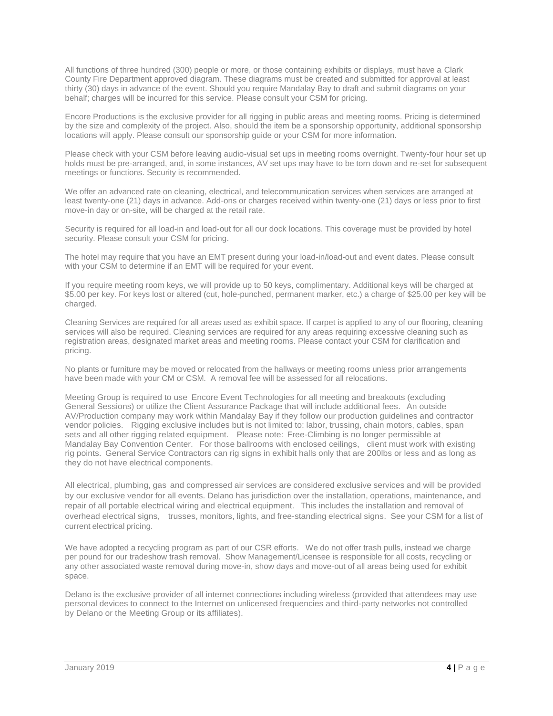All functions of three hundred (300) people or more, or those containing exhibits or displays, must have a Clark County Fire Department approved diagram. These diagrams must be created and submitted for approval at least thirty (30) days in advance of the event. Should you require Mandalay Bay to draft and submit diagrams on your behalf; charges will be incurred for this service. Please consult your CSM for pricing.

Encore Productions is the exclusive provider for all rigging in public areas and meeting rooms. Pricing is determined by the size and complexity of the project. Also, should the item be a sponsorship opportunity, additional sponsorship locations will apply. Please consult our sponsorship guide or your CSM for more information.

Please check with your CSM before leaving audio-visual set ups in meeting rooms overnight. Twenty-four hour set up holds must be pre-arranged, and, in some instances, AV set ups may have to be torn down and re-set for subsequent meetings or functions. Security is recommended.

We offer an advanced rate on cleaning, electrical, and telecommunication services when services are arranged at least twenty-one (21) days in advance. Add-ons or charges received within twenty-one (21) days or less prior to first move-in day or on-site, will be charged at the retail rate.

Security is required for all load-in and load-out for all our dock locations. This coverage must be provided by hotel security. Please consult your CSM for pricing.

The hotel may require that you have an EMT present during your load-in/load-out and event dates. Please consult with your CSM to determine if an EMT will be required for your event.

If you require meeting room keys, we will provide up to 50 keys, complimentary. Additional keys will be charged at \$5.00 per key. For keys lost or altered (cut, hole-punched, permanent marker, etc.) a charge of \$25.00 per key will be charged.

Cleaning Services are required for all areas used as exhibit space. If carpet is applied to any of our flooring, cleaning services will also be required. Cleaning services are required for any areas requiring excessive cleaning such as registration areas, designated market areas and meeting rooms. Please contact your CSM for clarification and pricing.

No plants or furniture may be moved or relocated from the hallways or meeting rooms unless prior arrangements have been made with your CM or CSM. A removal fee will be assessed for all relocations.

Meeting Group is required to use Encore Event Technologies for all meeting and breakouts (excluding General Sessions) or utilize the Client Assurance Package that will include additional fees. An outside AV/Production company may work within Mandalay Bay if they follow our production guidelines and contractor vendor policies. Rigging exclusive includes but is not limited to: labor, trussing, chain motors, cables, span sets and all other rigging related equipment. Please note: Free-Climbing is no longer permissible at Mandalay Bay Convention Center. For those ballrooms with enclosed ceilings, client must work with existing rig points. General Service Contractors can rig signs in exhibit halls only that are 200lbs or less and as long as they do not have electrical components.

All electrical, plumbing, gas and compressed air services are considered exclusive services and will be provided by our exclusive vendor for all events. Delano has jurisdiction over the installation, operations, maintenance, and repair of all portable electrical wiring and electrical equipment. This includes the installation and removal of overhead electrical signs, trusses, monitors, lights, and free-standing electrical signs. See your CSM for a list of current electrical pricing.

We have adopted a recycling program as part of our CSR efforts. We do not offer trash pulls, instead we charge per pound for our tradeshow trash removal. Show Management/Licensee is responsible for all costs, recycling or any other associated waste removal during move-in, show days and move-out of all areas being used for exhibit space.

Delano is the exclusive provider of all internet connections including wireless (provided that attendees may use personal devices to connect to the Internet on unlicensed frequencies and third-party networks not controlled by Delano or the Meeting Group or its affiliates).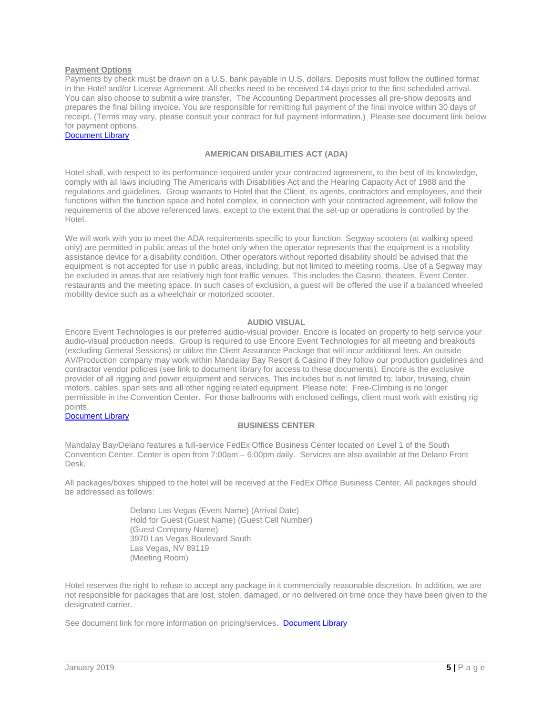### **Payment Options**

Payments by check must be drawn on a U.S. bank payable in U.S. dollars. Deposits must follow the outlined format in the Hotel and/or License Agreement. All checks need to be received 14 days prior to the first scheduled arrival. You can also choose to submit a wire transfer. The Accounting Department processes all pre-show deposits and prepares the final billing invoice. You are responsible for remitting full payment of the final invoice within 30 days of receipt. (Terms may vary, please consult your contract for full payment information.) Please see document link below for payment options.

[Document Library](https://www.delanolasvegas.com/en/meetings-groups.html)

# **AMERICAN DISABILITIES ACT (ADA)**

Hotel shall, with respect to its performance required under your contracted agreement, to the best of its knowledge, comply with all laws including The Americans with Disabilities Act and the Hearing Capacity Act of 1988 and the regulations and guidelines. Group warrants to Hotel that the Client, its agents, contractors and employees, and their functions within the function space and hotel complex, in connection with your contracted agreement, will follow the requirements of the above referenced laws, except to the extent that the set-up or operations is controlled by the Hotel.

We will work with you to meet the ADA requirements specific to your function. Segway scooters (at walking speed only) are permitted in public areas of the hotel only when the operator represents that the equipment is a mobility assistance device for a disability condition. Other operators without reported disability should be advised that the equipment is not accepted for use in public areas, including, but not limited to meeting rooms. Use of a Segway may be excluded in areas that are relatively high foot traffic venues. This includes the Casino, theaters, Event Center, restaurants and the meeting space. In such cases of exclusion, a guest will be offered the use if a balanced wheeled mobility device such as a wheelchair or motorized scooter.

#### **AUDIO VISUAL**

Encore Event Technologies is our preferred audio-visual provider. Encore is located on property to help service your audio-visual production needs. Group is required to use Encore Event Technologies for all meeting and breakouts (excluding General Sessions) or utilize the Client Assurance Package that will incur additional fees. An outside AV/Production company may work within Mandalay Bay Resort & Casino if they follow our production guidelines and contractor vendor policies (see link to document library for access to these documents). Encore is the exclusive provider of all rigging and power equipment and services. This includes but is not limited to: labor, trussing, chain motors, cables, span sets and all other rigging related equipment. Please note: Free-Climbing is no longer permissible in the Convention Center. For those ballrooms with enclosed ceilings, client must work with existing rig points.

#### [Document Library](https://www.delanolasvegas.com/en/meetings-groups.html)

### **BUSINESS CENTER**

Mandalay Bay/Delano features a full-service FedEx Office Business Center located on Level 1 of the South Convention Center. Center is open from 7:00am – 6:00pm daily. Services are also available at the Delano Front Desk.

All packages/boxes shipped to the hotel will be received at the FedEx Office Business Center. All packages should be addressed as follows:

> Delano Las Vegas (Event Name) (Arrival Date) Hold for Guest (Guest Name) (Guest Cell Number) (Guest Company Name) 3970 Las Vegas Boulevard South Las Vegas, NV 89119 (Meeting Room)

Hotel reserves the right to refuse to accept any package in it commercially reasonable discretion. In addition, we are not responsible for packages that are lost, stolen, damaged, or no delivered on time once they have been given to the designated carrier.

See document link for more information on pricing/services. [Document Library](https://www.delanolasvegas.com/en/meetings-groups.html)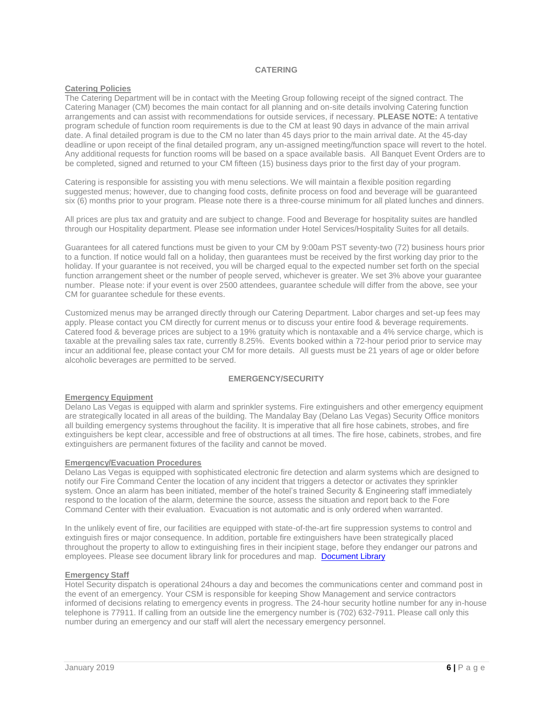# **CATERING**

# **Catering Policies**

The Catering Department will be in contact with the Meeting Group following receipt of the signed contract. The Catering Manager (CM) becomes the main contact for all planning and on-site details involving Catering function arrangements and can assist with recommendations for outside services, if necessary. **PLEASE NOTE:** A tentative program schedule of function room requirements is due to the CM at least 90 days in advance of the main arrival date. A final detailed program is due to the CM no later than 45 days prior to the main arrival date. At the 45-day deadline or upon receipt of the final detailed program, any un-assigned meeting/function space will revert to the hotel. Any additional requests for function rooms will be based on a space available basis. All Banquet Event Orders are to be completed, signed and returned to your CM fifteen (15) business days prior to the first day of your program.

Catering is responsible for assisting you with menu selections. We will maintain a flexible position regarding suggested menus; however, due to changing food costs, definite process on food and beverage will be guaranteed six (6) months prior to your program. Please note there is a three-course minimum for all plated lunches and dinners.

All prices are plus tax and gratuity and are subject to change. Food and Beverage for hospitality suites are handled through our Hospitality department. Please see information under Hotel Services/Hospitality Suites for all details.

Guarantees for all catered functions must be given to your CM by 9:00am PST seventy-two (72) business hours prior to a function. If notice would fall on a holiday, then guarantees must be received by the first working day prior to the holiday. If your guarantee is not received, you will be charged equal to the expected number set forth on the special function arrangement sheet or the number of people served, whichever is greater. We set 3% above your guarantee number. Please note: if your event is over 2500 attendees, guarantee schedule will differ from the above, see your CM for guarantee schedule for these events.

Customized menus may be arranged directly through our Catering Department. Labor charges and set-up fees may apply. Please contact you CM directly for current menus or to discuss your entire food & beverage requirements. Catered food & beverage prices are subject to a 19% gratuity which is nontaxable and a 4% service charge, which is taxable at the prevailing sales tax rate, currently 8.25%. Events booked within a 72-hour period prior to service may incur an additional fee, please contact your CM for more details. All guests must be 21 years of age or older before alcoholic beverages are permitted to be served.

# **EMERGENCY/SECURITY**

### **Emergency Equipment**

Delano Las Vegas is equipped with alarm and sprinkler systems. Fire extinguishers and other emergency equipment are strategically located in all areas of the building. The Mandalay Bay (Delano Las Vegas) Security Office monitors all building emergency systems throughout the facility. It is imperative that all fire hose cabinets, strobes, and fire extinguishers be kept clear, accessible and free of obstructions at all times. The fire hose, cabinets, strobes, and fire extinguishers are permanent fixtures of the facility and cannot be moved.

#### **Emergency/Evacuation Procedures**

Delano Las Vegas is equipped with sophisticated electronic fire detection and alarm systems which are designed to notify our Fire Command Center the location of any incident that triggers a detector or activates they sprinkler system. Once an alarm has been initiated, member of the hotel's trained Security & Engineering staff immediately respond to the location of the alarm, determine the source, assess the situation and report back to the Fore Command Center with their evaluation. Evacuation is not automatic and is only ordered when warranted.

In the unlikely event of fire, our facilities are equipped with state-of-the-art fire suppression systems to control and extinguish fires or major consequence. In addition, portable fire extinguishers have been strategically placed throughout the property to allow to extinguishing fires in their incipient stage, before they endanger our patrons and employees. Please see document library link for procedures and map. [Document Library](https://www.delanolasvegas.com/en/meetings-groups.html)

### **Emergency Staff**

Hotel Security dispatch is operational 24hours a day and becomes the communications center and command post in the event of an emergency. Your CSM is responsible for keeping Show Management and service contractors informed of decisions relating to emergency events in progress. The 24-hour security hotline number for any in-house telephone is 77911. If calling from an outside line the emergency number is (702) 632-7911. Please call only this number during an emergency and our staff will alert the necessary emergency personnel.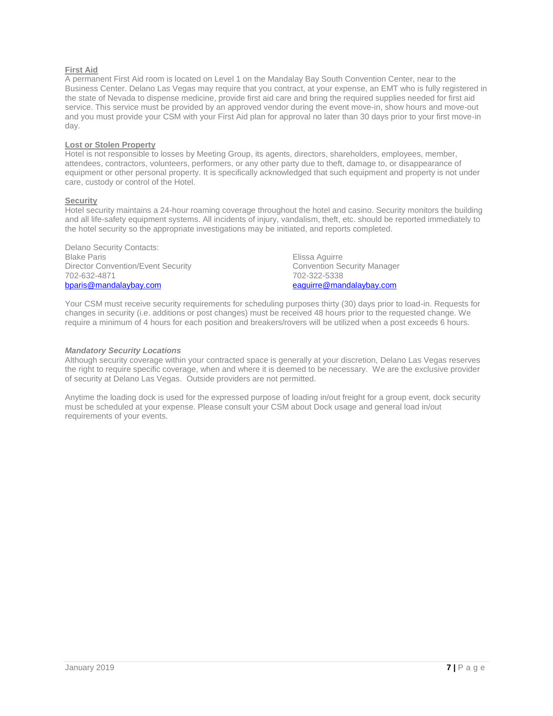# **First Aid**

A permanent First Aid room is located on Level 1 on the Mandalay Bay South Convention Center, near to the Business Center. Delano Las Vegas may require that you contract, at your expense, an EMT who is fully registered in the state of Nevada to dispense medicine, provide first aid care and bring the required supplies needed for first aid service. This service must be provided by an approved vendor during the event move-in, show hours and move-out and you must provide your CSM with your First Aid plan for approval no later than 30 days prior to your first move-in day.

### **Lost or Stolen Property**

Hotel is not responsible to losses by Meeting Group, its agents, directors, shareholders, employees, member, attendees, contractors, volunteers, performers, or any other party due to theft, damage to, or disappearance of equipment or other personal property. It is specifically acknowledged that such equipment and property is not under care, custody or control of the Hotel.

### **Security**

Hotel security maintains a 24-hour roaming coverage throughout the hotel and casino. Security monitors the building and all life-safety equipment systems. All incidents of injury, vandalism, theft, etc. should be reported immediately to the hotel security so the appropriate investigations may be initiated, and reports completed.

Delano Security Contacts: Blake Paris Director Convention/Event Security 702-632-4871 [bparis@mandalaybay.com](mailto:bparis@mandalaybay.com)

Elissa Aguirre Convention Security Manager 702-322-5338 [eaguirre@mandalaybay.com](mailto:eaguirre@mandalaybay.com)

Your CSM must receive security requirements for scheduling purposes thirty (30) days prior to load-in. Requests for changes in security (i.e. additions or post changes) must be received 48 hours prior to the requested change. We require a minimum of 4 hours for each position and breakers/rovers will be utilized when a post exceeds 6 hours.

### *Mandatory Security Locations*

Although security coverage within your contracted space is generally at your discretion, Delano Las Vegas reserves the right to require specific coverage, when and where it is deemed to be necessary. We are the exclusive provider of security at Delano Las Vegas. Outside providers are not permitted.

Anytime the loading dock is used for the expressed purpose of loading in/out freight for a group event, dock security must be scheduled at your expense. Please consult your CSM about Dock usage and general load in/out requirements of your events.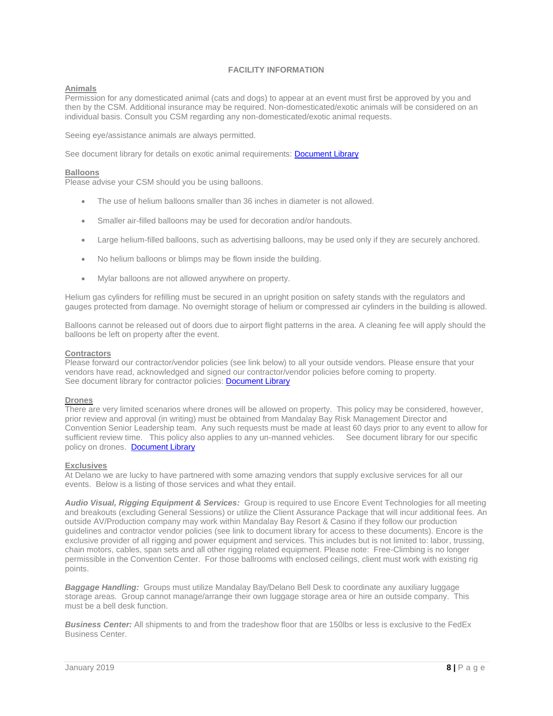# **FACILITY INFORMATION**

# **Animals**

Permission for any domesticated animal (cats and dogs) to appear at an event must first be approved by you and then by the CSM. Additional insurance may be required. Non-domesticated/exotic animals will be considered on an individual basis. Consult you CSM regarding any non-domesticated/exotic animal requests.

Seeing eye/assistance animals are always permitted.

See document library for details on exotic animal requirements: **Document Library** 

#### **Balloons**

Please advise your CSM should you be using balloons.

- The use of helium balloons smaller than 36 inches in diameter is not allowed.
- Smaller air-filled balloons may be used for decoration and/or handouts.
- Large helium-filled balloons, such as advertising balloons, may be used only if they are securely anchored.
- No helium balloons or blimps may be flown inside the building.
- Mylar balloons are not allowed anywhere on property.

Helium gas cylinders for refilling must be secured in an upright position on safety stands with the regulators and gauges protected from damage. No overnight storage of helium or compressed air cylinders in the building is allowed.

Balloons cannot be released out of doors due to airport flight patterns in the area. A cleaning fee will apply should the balloons be left on property after the event.

#### **Contractors**

Please forward our contractor/vendor policies (see link below) to all your outside vendors. Please ensure that your vendors have read, acknowledged and signed our contractor/vendor policies before coming to property. See document library for contractor policies: [Document Library](https://www.delanolasvegas.com/en/meetings-groups.html)

### **Drones**

There are very limited scenarios where drones will be allowed on property. This policy may be considered, however, prior review and approval (in writing) must be obtained from Mandalay Bay Risk Management Director and Convention Senior Leadership team. Any such requests must be made at least 60 days prior to any event to allow for sufficient review time. This policy also applies to any un-manned vehicles. See document library for our specific policy on drones. [Document Library](https://www.delanolasvegas.com/en/meetings-groups.html)

#### **Exclusives**

At Delano we are lucky to have partnered with some amazing vendors that supply exclusive services for all our events. Below is a listing of those services and what they entail.

*Audio Visual, Rigging Equipment & Services:* Group is required to use Encore Event Technologies for all meeting and breakouts (excluding General Sessions) or utilize the Client Assurance Package that will incur additional fees. An outside AV/Production company may work within Mandalay Bay Resort & Casino if they follow our production guidelines and contractor vendor policies (see link to document library for access to these documents). Encore is the exclusive provider of all rigging and power equipment and services. This includes but is not limited to: labor, trussing, chain motors, cables, span sets and all other rigging related equipment. Please note: Free-Climbing is no longer permissible in the Convention Center. For those ballrooms with enclosed ceilings, client must work with existing rig points.

*Baggage Handling:* Groups must utilize Mandalay Bay/Delano Bell Desk to coordinate any auxiliary luggage storage areas. Group cannot manage/arrange their own luggage storage area or hire an outside company. This must be a bell desk function.

*Business Center:* All shipments to and from the tradeshow floor that are 150lbs or less is exclusive to the FedEx Business Center.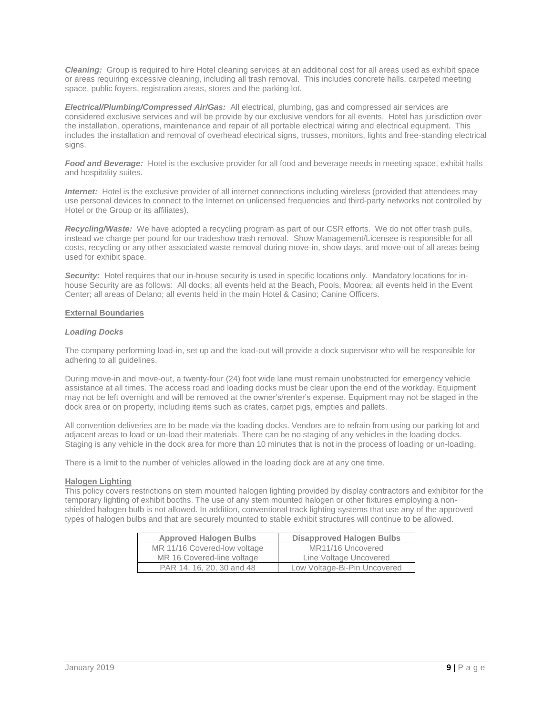*Cleaning:* Group is required to hire Hotel cleaning services at an additional cost for all areas used as exhibit space or areas requiring excessive cleaning, including all trash removal. This includes concrete halls, carpeted meeting space, public foyers, registration areas, stores and the parking lot.

*Electrical/Plumbing/Compressed Air/Gas:* All electrical, plumbing, gas and compressed air services are considered exclusive services and will be provide by our exclusive vendors for all events. Hotel has jurisdiction over the installation, operations, maintenance and repair of all portable electrical wiring and electrical equipment. This includes the installation and removal of overhead electrical signs, trusses, monitors, lights and free-standing electrical signs.

*Food and Beverage:* Hotel is the exclusive provider for all food and beverage needs in meeting space, exhibit halls and hospitality suites.

*Internet:* Hotel is the exclusive provider of all internet connections including wireless (provided that attendees may use personal devices to connect to the Internet on unlicensed frequencies and third-party networks not controlled by Hotel or the Group or its affiliates).

*Recycling/Waste:* We have adopted a recycling program as part of our CSR efforts. We do not offer trash pulls, instead we charge per pound for our tradeshow trash removal. Show Management/Licensee is responsible for all costs, recycling or any other associated waste removal during move-in, show days, and move-out of all areas being used for exhibit space.

**Security:** Hotel requires that our in-house security is used in specific locations only. Mandatory locations for inhouse Security are as follows: All docks; all events held at the Beach, Pools, Moorea; all events held in the Event Center; all areas of Delano; all events held in the main Hotel & Casino; Canine Officers.

# **External Boundaries**

#### *Loading Docks*

The company performing load-in, set up and the load-out will provide a dock supervisor who will be responsible for adhering to all guidelines.

During move-in and move-out, a twenty-four (24) foot wide lane must remain unobstructed for emergency vehicle assistance at all times. The access road and loading docks must be clear upon the end of the workday. Equipment may not be left overnight and will be removed at the owner's/renter's expense. Equipment may not be staged in the dock area or on property, including items such as crates, carpet pigs, empties and pallets.

All convention deliveries are to be made via the loading docks. Vendors are to refrain from using our parking lot and adjacent areas to load or un-load their materials. There can be no staging of any vehicles in the loading docks. Staging is any vehicle in the dock area for more than 10 minutes that is not in the process of loading or un-loading.

There is a limit to the number of vehicles allowed in the loading dock are at any one time.

#### **Halogen Lighting**

This policy covers restrictions on stem mounted halogen lighting provided by display contractors and exhibitor for the temporary lighting of exhibit booths. The use of any stem mounted halogen or other fixtures employing a nonshielded halogen bulb is not allowed. In addition, conventional track lighting systems that use any of the approved types of halogen bulbs and that are securely mounted to stable exhibit structures will continue to be allowed.

| <b>Approved Halogen Bulbs</b> | <b>Disapproved Halogen Bulbs</b> |
|-------------------------------|----------------------------------|
| MR 11/16 Covered-low voltage  | MR11/16 Uncovered                |
| MR 16 Covered-line voltage    | Line Voltage Uncovered           |
| PAR 14, 16, 20, 30 and 48     | Low Voltage-Bi-Pin Uncovered     |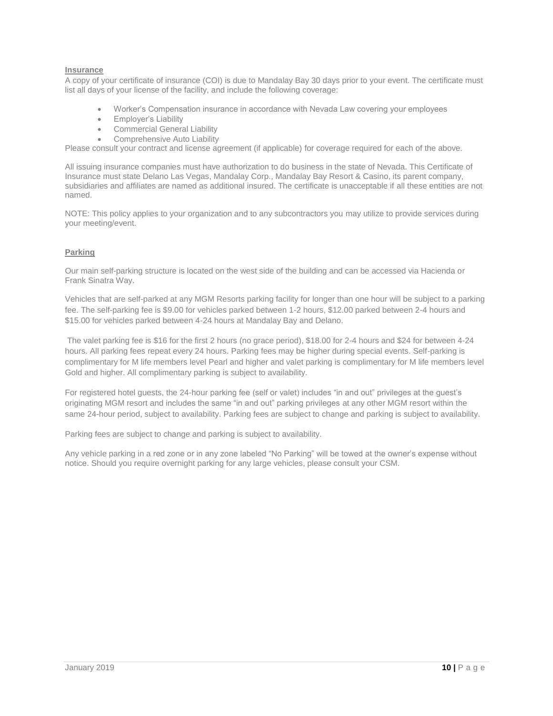# **Insurance**

A copy of your certificate of insurance (COI) is due to Mandalay Bay 30 days prior to your event. The certificate must list all days of your license of the facility, and include the following coverage:

- Worker's Compensation insurance in accordance with Nevada Law covering your employees
- Employer's Liability
- Commercial General Liability
- Comprehensive Auto Liability

Please consult your contract and license agreement (if applicable) for coverage required for each of the above.

All issuing insurance companies must have authorization to do business in the state of Nevada. This Certificate of Insurance must state Delano Las Vegas, Mandalay Corp., Mandalay Bay Resort & Casino, its parent company, subsidiaries and affiliates are named as additional insured. The certificate is unacceptable if all these entities are not named.

NOTE: This policy applies to your organization and to any subcontractors you may utilize to provide services during your meeting/event.

# **Parking**

Our main self-parking structure is located on the west side of the building and can be accessed via Hacienda or Frank Sinatra Way.

Vehicles that are self-parked at any MGM Resorts parking facility for longer than one hour will be subject to a parking fee. The self-parking fee is \$9.00 for vehicles parked between 1-2 hours, \$12.00 parked between 2-4 hours and \$15.00 for vehicles parked between 4-24 hours at Mandalay Bay and Delano.

The valet parking fee is \$16 for the first 2 hours (no grace period), \$18.00 for 2-4 hours and \$24 for between 4-24 hours. All parking fees repeat every 24 hours. Parking fees may be higher during special events. Self-parking is complimentary for M life members level Pearl and higher and valet parking is complimentary for M life members level Gold and higher. All complimentary parking is subject to availability.

For registered hotel guests, the 24-hour parking fee (self or valet) includes "in and out" privileges at the guest's originating MGM resort and includes the same "in and out" parking privileges at any other MGM resort within the same 24-hour period, subject to availability. Parking fees are subject to change and parking is subject to availability.

Parking fees are subject to change and parking is subject to availability.

Any vehicle parking in a red zone or in any zone labeled "No Parking" will be towed at the owner's expense without notice. Should you require overnight parking for any large vehicles, please consult your CSM.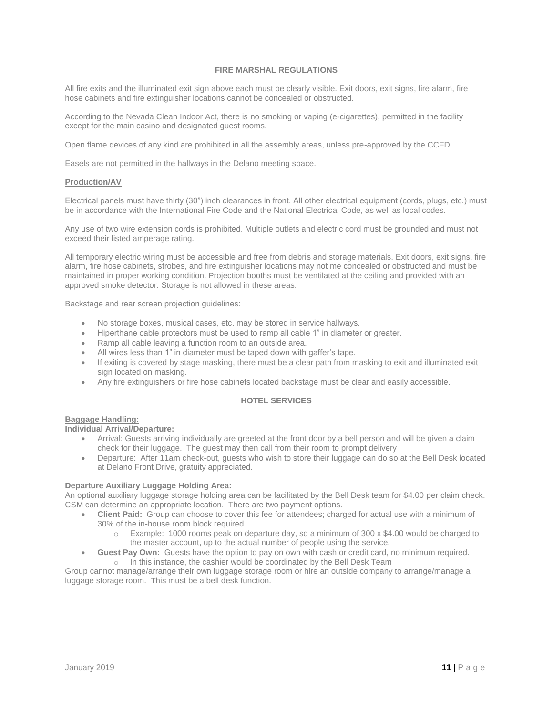# **FIRE MARSHAL REGULATIONS**

All fire exits and the illuminated exit sign above each must be clearly visible. Exit doors, exit signs, fire alarm, fire hose cabinets and fire extinguisher locations cannot be concealed or obstructed.

According to the Nevada Clean Indoor Act, there is no smoking or vaping (e-cigarettes), permitted in the facility except for the main casino and designated guest rooms.

Open flame devices of any kind are prohibited in all the assembly areas, unless pre-approved by the CCFD.

Easels are not permitted in the hallways in the Delano meeting space.

## **Production/AV**

Electrical panels must have thirty (30") inch clearances in front. All other electrical equipment (cords, plugs, etc.) must be in accordance with the International Fire Code and the National Electrical Code, as well as local codes.

Any use of two wire extension cords is prohibited. Multiple outlets and electric cord must be grounded and must not exceed their listed amperage rating.

All temporary electric wiring must be accessible and free from debris and storage materials. Exit doors, exit signs, fire alarm, fire hose cabinets, strobes, and fire extinguisher locations may not me concealed or obstructed and must be maintained in proper working condition. Projection booths must be ventilated at the ceiling and provided with an approved smoke detector. Storage is not allowed in these areas.

Backstage and rear screen projection guidelines:

- No storage boxes, musical cases, etc. may be stored in service hallways.
- Hiperthane cable protectors must be used to ramp all cable 1" in diameter or greater.
- Ramp all cable leaving a function room to an outside area.
- All wires less than 1" in diameter must be taped down with gaffer's tape.
- If exiting is covered by stage masking, there must be a clear path from masking to exit and illuminated exit sign located on masking.
- Any fire extinguishers or fire hose cabinets located backstage must be clear and easily accessible.

### **HOTEL SERVICES**

# **Baggage Handling:**

**Individual Arrival/Departure:**

- Arrival: Guests arriving individually are greeted at the front door by a bell person and will be given a claim check for their luggage. The guest may then call from their room to prompt delivery
- Departure: After 11am check-out, guests who wish to store their luggage can do so at the Bell Desk located at Delano Front Drive, gratuity appreciated.

### **Departure Auxiliary Luggage Holding Area:**

An optional auxiliary luggage storage holding area can be facilitated by the Bell Desk team for \$4.00 per claim check. CSM can determine an appropriate location. There are two payment options.

- **Client Paid:** Group can choose to cover this fee for attendees; charged for actual use with a minimum of 30% of the in-house room block required.
	- $\circ$  Example: 1000 rooms peak on departure day, so a minimum of 300 x \$4.00 would be charged to the master account, up to the actual number of people using the service.
- **Guest Pay Own:** Guests have the option to pay on own with cash or credit card, no minimum required. o In this instance, the cashier would be coordinated by the Bell Desk Team

Group cannot manage/arrange their own luggage storage room or hire an outside company to arrange/manage a luggage storage room. This must be a bell desk function.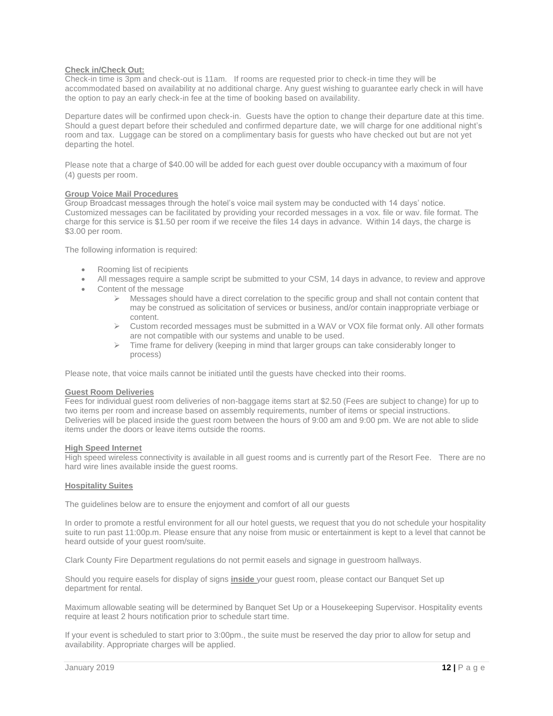# **Check in/Check Out:**

Check-in time is 3pm and check-out is 11am. If rooms are requested prior to check-in time they will be accommodated based on availability at no additional charge. Any guest wishing to guarantee early check in will have the option to pay an early check-in fee at the time of booking based on availability.

Departure dates will be confirmed upon check-in. Guests have the option to change their departure date at this time. Should a guest depart before their scheduled and confirmed departure date, we will charge for one additional night's room and tax. Luggage can be stored on a complimentary basis for guests who have checked out but are not yet departing the hotel.

Please note that a charge of \$40.00 will be added for each guest over double occupancy with a maximum of four (4) guests per room.

# **Group Voice Mail Procedures**

Group Broadcast messages through the hotel's voice mail system may be conducted with 14 days' notice. Customized messages can be facilitated by providing your recorded messages in a vox. file or wav. file format. The charge for this service is \$1.50 per room if we receive the files 14 days in advance. Within 14 days, the charge is \$3.00 per room.

The following information is required:

- Rooming list of recipients
- All messages require a sample script be submitted to your CSM, 14 days in advance, to review and approve
- Content of the message
	- $\triangleright$  Messages should have a direct correlation to the specific group and shall not contain content that may be construed as solicitation of services or business, and/or contain inappropriate verbiage or content.
	- $\triangleright$  Custom recorded messages must be submitted in a WAV or VOX file format only. All other formats are not compatible with our systems and unable to be used.
	- $\triangleright$  Time frame for delivery (keeping in mind that larger groups can take considerably longer to process)

Please note, that voice mails cannot be initiated until the guests have checked into their rooms.

# **Guest Room Deliveries**

Fees for individual guest room deliveries of non-baggage items start at \$2.50 (Fees are subject to change) for up to two items per room and increase based on assembly requirements, number of items or special instructions. Deliveries will be placed inside the guest room between the hours of 9:00 am and 9:00 pm. We are not able to slide items under the doors or leave items outside the rooms.

# **High Speed Internet**

High speed wireless connectivity is available in all guest rooms and is currently part of the Resort Fee. There are no hard wire lines available inside the guest rooms.

# **Hospitality Suites**

The guidelines below are to ensure the enjoyment and comfort of all our guests

In order to promote a restful environment for all our hotel guests, we request that you do not schedule your hospitality suite to run past 11:00p.m. Please ensure that any noise from music or entertainment is kept to a level that cannot be heard outside of your guest room/suite.

Clark County Fire Department regulations do not permit easels and signage in guestroom hallways.

Should you require easels for display of signs **inside** your guest room, please contact our Banquet Set up department for rental.

Maximum allowable seating will be determined by Banquet Set Up or a Housekeeping Supervisor. Hospitality events require at least 2 hours notification prior to schedule start time.

If your event is scheduled to start prior to 3:00pm., the suite must be reserved the day prior to allow for setup and availability. Appropriate charges will be applied.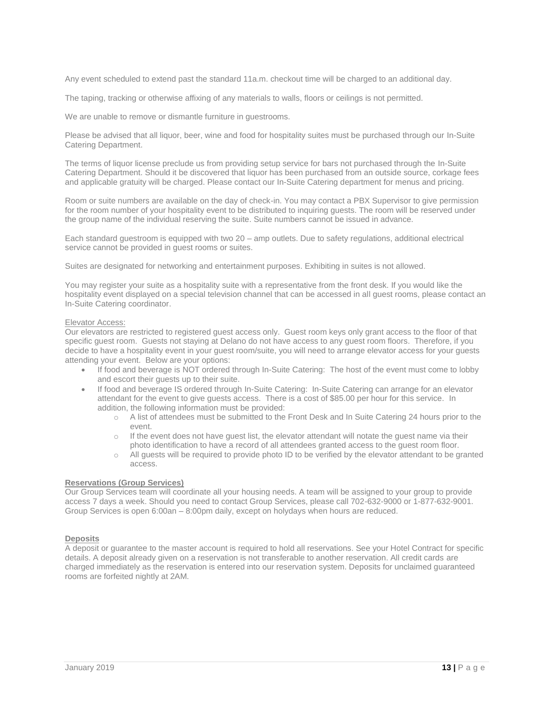Any event scheduled to extend past the standard 11a.m. checkout time will be charged to an additional day.

The taping, tracking or otherwise affixing of any materials to walls, floors or ceilings is not permitted.

We are unable to remove or dismantle furniture in guestrooms.

Please be advised that all liquor, beer, wine and food for hospitality suites must be purchased through our In-Suite Catering Department.

The terms of liquor license preclude us from providing setup service for bars not purchased through the In-Suite Catering Department. Should it be discovered that liquor has been purchased from an outside source, corkage fees and applicable gratuity will be charged. Please contact our In-Suite Catering department for menus and pricing.

Room or suite numbers are available on the day of check-in. You may contact a PBX Supervisor to give permission for the room number of your hospitality event to be distributed to inquiring guests. The room will be reserved under the group name of the individual reserving the suite. Suite numbers cannot be issued in advance.

Each standard guestroom is equipped with two 20 – amp outlets. Due to safety regulations, additional electrical service cannot be provided in guest rooms or suites.

Suites are designated for networking and entertainment purposes. Exhibiting in suites is not allowed.

You may register your suite as a hospitality suite with a representative from the front desk. If you would like the hospitality event displayed on a special television channel that can be accessed in all guest rooms, please contact an In-Suite Catering coordinator.

#### Elevator Access:

Our elevators are restricted to registered guest access only. Guest room keys only grant access to the floor of that specific guest room. Guests not staying at Delano do not have access to any guest room floors. Therefore, if you decide to have a hospitality event in your guest room/suite, you will need to arrange elevator access for your guests attending your event. Below are your options:

- If food and beverage is NOT ordered through In-Suite Catering: The host of the event must come to lobby and escort their guests up to their suite.
- If food and beverage IS ordered through In-Suite Catering: In-Suite Catering can arrange for an elevator attendant for the event to give guests access. There is a cost of \$85.00 per hour for this service. In addition, the following information must be provided:
	- o A list of attendees must be submitted to the Front Desk and In Suite Catering 24 hours prior to the event.
	- $\circ$  If the event does not have guest list, the elevator attendant will notate the guest name via their photo identification to have a record of all attendees granted access to the guest room floor.
	- o All guests will be required to provide photo ID to be verified by the elevator attendant to be granted access.

### **Reservations (Group Services)**

Our Group Services team will coordinate all your housing needs. A team will be assigned to your group to provide access 7 days a week. Should you need to contact Group Services, please call 702-632-9000 or 1-877-632-9001. Group Services is open 6:00an – 8:00pm daily, except on holydays when hours are reduced.

#### **Deposits**

A deposit or guarantee to the master account is required to hold all reservations. See your Hotel Contract for specific details. A deposit already given on a reservation is not transferable to another reservation. All credit cards are charged immediately as the reservation is entered into our reservation system. Deposits for unclaimed guaranteed rooms are forfeited nightly at 2AM.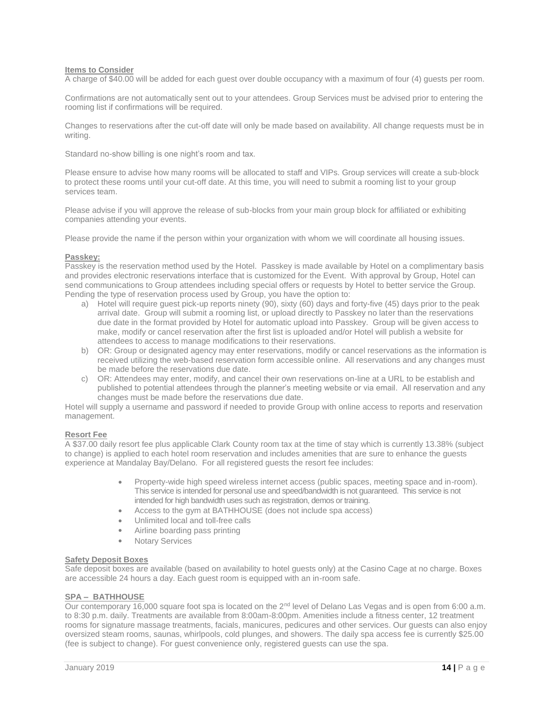#### **Items to Consider**

A charge of \$40.00 will be added for each guest over double occupancy with a maximum of four (4) guests per room.

Confirmations are not automatically sent out to your attendees. Group Services must be advised prior to entering the rooming list if confirmations will be required.

Changes to reservations after the cut-off date will only be made based on availability. All change requests must be in writing.

Standard no-show billing is one night's room and tax.

Please ensure to advise how many rooms will be allocated to staff and VIPs. Group services will create a sub-block to protect these rooms until your cut-off date. At this time, you will need to submit a rooming list to your group services team.

Please advise if you will approve the release of sub-blocks from your main group block for affiliated or exhibiting companies attending your events.

Please provide the name if the person within your organization with whom we will coordinate all housing issues.

#### **Passkey:**

Passkey is the reservation method used by the Hotel. Passkey is made available by Hotel on a complimentary basis and provides electronic reservations interface that is customized for the Event. With approval by Group, Hotel can send communications to Group attendees including special offers or requests by Hotel to better service the Group. Pending the type of reservation process used by Group, you have the option to:

- a) Hotel will require guest pick-up reports ninety (90), sixty (60) days and forty-five (45) days prior to the peak arrival date. Group will submit a rooming list, or upload directly to Passkey no later than the reservations due date in the format provided by Hotel for automatic upload into Passkey. Group will be given access to make, modify or cancel reservation after the first list is uploaded and/or Hotel will publish a website for attendees to access to manage modifications to their reservations.
- b) OR: Group or designated agency may enter reservations, modify or cancel reservations as the information is received utilizing the web-based reservation form accessible online. All reservations and any changes must be made before the reservations due date.
- c) OR: Attendees may enter, modify, and cancel their own reservations on-line at a URL to be establish and published to potential attendees through the planner's meeting website or via email. All reservation and any changes must be made before the reservations due date.

Hotel will supply a username and password if needed to provide Group with online access to reports and reservation management.

### **Resort Fee**

A \$37.00 daily resort fee plus applicable Clark County room tax at the time of stay which is currently 13.38% (subject to change) is applied to each hotel room reservation and includes amenities that are sure to enhance the guests experience at Mandalay Bay/Delano. For all registered guests the resort fee includes:

- Property-wide high speed wireless internet access (public spaces, meeting space and in-room). This service is intended for personal use and speed/bandwidth is not guaranteed. This service is not intended for high bandwidth uses such as registration, demos or training.
- Access to the gym at BATHHOUSE (does not include spa access)
- Unlimited local and toll-free calls
- Airline boarding pass printing
- **Notary Services**

#### **Safety Deposit Boxes**

Safe deposit boxes are available (based on availability to hotel quests only) at the Casino Cage at no charge. Boxes are accessible 24 hours a day. Each guest room is equipped with an in-room safe.

# **SPA – BATHHOUSE**

Our contemporary 16,000 square foot spa is located on the  $2^{nd}$  level of Delano Las Vegas and is open from 6:00 a.m. to 8:30 p.m. daily. Treatments are available from 8:00am-8:00pm. Amenities include a fitness center, 12 treatment rooms for signature massage treatments, facials, manicures, pedicures and other services. Our guests can also enjoy oversized steam rooms, saunas, whirlpools, cold plunges, and showers. The daily spa access fee is currently \$25.00 (fee is subject to change). For guest convenience only, registered guests can use the spa.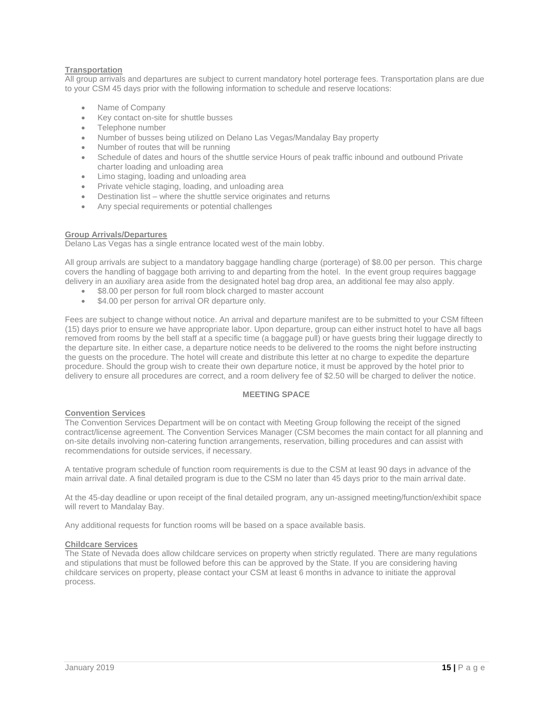# **Transportation**

All group arrivals and departures are subject to current mandatory hotel porterage fees. Transportation plans are due to your CSM 45 days prior with the following information to schedule and reserve locations:

- Name of Company
- Key contact on-site for shuttle busses
- Telephone number
- Number of busses being utilized on Delano Las Vegas/Mandalay Bay property
- Number of routes that will be running
- Schedule of dates and hours of the shuttle service Hours of peak traffic inbound and outbound Private charter loading and unloading area
- Limo staging, loading and unloading area
- Private vehicle staging, loading, and unloading area
- Destination list where the shuttle service originates and returns
- Any special requirements or potential challenges

### **Group Arrivals/Departures**

Delano Las Vegas has a single entrance located west of the main lobby.

All group arrivals are subject to a mandatory baggage handling charge (porterage) of \$8.00 per person. This charge covers the handling of baggage both arriving to and departing from the hotel. In the event group requires baggage delivery in an auxiliary area aside from the designated hotel bag drop area, an additional fee may also apply.

- \$8.00 per person for full room block charged to master account
- \$4.00 per person for arrival OR departure only.

Fees are subject to change without notice. An arrival and departure manifest are to be submitted to your CSM fifteen (15) days prior to ensure we have appropriate labor. Upon departure, group can either instruct hotel to have all bags removed from rooms by the bell staff at a specific time (a baggage pull) or have guests bring their luggage directly to the departure site. In either case, a departure notice needs to be delivered to the rooms the night before instructing the guests on the procedure. The hotel will create and distribute this letter at no charge to expedite the departure procedure. Should the group wish to create their own departure notice, it must be approved by the hotel prior to delivery to ensure all procedures are correct, and a room delivery fee of \$2.50 will be charged to deliver the notice.

### **MEETING SPACE**

#### **Convention Services**

The Convention Services Department will be on contact with Meeting Group following the receipt of the signed contract/license agreement. The Convention Services Manager (CSM becomes the main contact for all planning and on-site details involving non-catering function arrangements, reservation, billing procedures and can assist with recommendations for outside services, if necessary.

A tentative program schedule of function room requirements is due to the CSM at least 90 days in advance of the main arrival date. A final detailed program is due to the CSM no later than 45 days prior to the main arrival date.

At the 45-day deadline or upon receipt of the final detailed program, any un-assigned meeting/function/exhibit space will revert to Mandalay Bay.

Any additional requests for function rooms will be based on a space available basis.

# **Childcare Services**

The State of Nevada does allow childcare services on property when strictly regulated. There are many regulations and stipulations that must be followed before this can be approved by the State. If you are considering having childcare services on property, please contact your CSM at least 6 months in advance to initiate the approval process.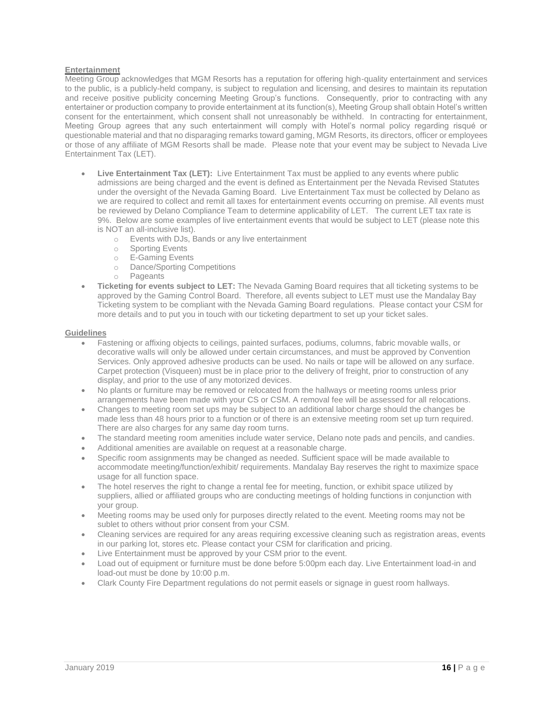# **Entertainment**

Meeting Group acknowledges that MGM Resorts has a reputation for offering high-quality entertainment and services to the public, is a publicly-held company, is subject to regulation and licensing, and desires to maintain its reputation and receive positive publicity concerning Meeting Group's functions. Consequently, prior to contracting with any entertainer or production company to provide entertainment at its function(s), Meeting Group shall obtain Hotel's written consent for the entertainment, which consent shall not unreasonably be withheld. In contracting for entertainment, Meeting Group agrees that any such entertainment will comply with Hotel's normal policy regarding risqué or questionable material and that no disparaging remarks toward gaming, MGM Resorts, its directors, officer or employees or those of any affiliate of MGM Resorts shall be made. Please note that your event may be subject to Nevada Live Entertainment Tax (LET).

- **Live Entertainment Tax (LET):** Live Entertainment Tax must be applied to any events where public admissions are being charged and the event is defined as Entertainment per the Nevada Revised Statutes under the oversight of the Nevada Gaming Board. Live Entertainment Tax must be collected by Delano as we are required to collect and remit all taxes for entertainment events occurring on premise. All events must be reviewed by Delano Compliance Team to determine applicability of LET. The current LET tax rate is 9%. Below are some examples of live entertainment events that would be subject to LET (please note this is NOT an all-inclusive list).
	- o Events with DJs, Bands or any live entertainment
	- o Sporting Events<br>
	o E-Gaming Fyent
	- **E-Gaming Events**
	- o Dance/Sporting Competitions
	- o Pageants
- **Ticketing for events subject to LET:** The Nevada Gaming Board requires that all ticketing systems to be approved by the Gaming Control Board. Therefore, all events subject to LET must use the Mandalay Bay Ticketing system to be compliant with the Nevada Gaming Board regulations. Please contact your CSM for more details and to put you in touch with our ticketing department to set up your ticket sales.

### **Guidelines**

- Fastening or affixing objects to ceilings, painted surfaces, podiums, columns, fabric movable walls, or decorative walls will only be allowed under certain circumstances, and must be approved by Convention Services. Only approved adhesive products can be used. No nails or tape will be allowed on any surface. Carpet protection (Visqueen) must be in place prior to the delivery of freight, prior to construction of any display, and prior to the use of any motorized devices.
- No plants or furniture may be removed or relocated from the hallways or meeting rooms unless prior arrangements have been made with your CS or CSM. A removal fee will be assessed for all relocations.
- Changes to meeting room set ups may be subject to an additional labor charge should the changes be made less than 48 hours prior to a function or of there is an extensive meeting room set up turn required. There are also charges for any same day room turns.
- The standard meeting room amenities include water service, Delano note pads and pencils, and candies.
- Additional amenities are available on request at a reasonable charge.
- Specific room assignments may be changed as needed. Sufficient space will be made available to accommodate meeting/function/exhibit/ requirements. Mandalay Bay reserves the right to maximize space usage for all function space.
- The hotel reserves the right to change a rental fee for meeting, function, or exhibit space utilized by suppliers, allied or affiliated groups who are conducting meetings of holding functions in conjunction with your group.
- Meeting rooms may be used only for purposes directly related to the event. Meeting rooms may not be sublet to others without prior consent from your CSM.
- Cleaning services are required for any areas requiring excessive cleaning such as registration areas, events in our parking lot, stores etc. Please contact your CSM for clarification and pricing.
- Live Entertainment must be approved by your CSM prior to the event.
- Load out of equipment or furniture must be done before 5:00pm each day. Live Entertainment load-in and load-out must be done by 10:00 p.m.
- Clark County Fire Department regulations do not permit easels or signage in guest room hallways.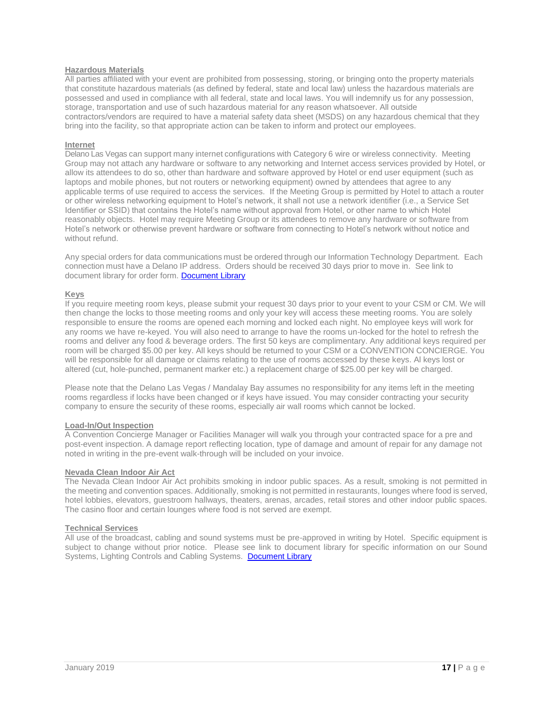### **Hazardous Materials**

All parties affiliated with your event are prohibited from possessing, storing, or bringing onto the property materials that constitute hazardous materials (as defined by federal, state and local law) unless the hazardous materials are possessed and used in compliance with all federal, state and local laws. You will indemnify us for any possession, storage, transportation and use of such hazardous material for any reason whatsoever. All outside contractors/vendors are required to have a material safety data sheet (MSDS) on any hazardous chemical that they bring into the facility, so that appropriate action can be taken to inform and protect our employees.

#### **Internet**

Delano Las Vegas can support many internet configurations with Category 6 wire or wireless connectivity. Meeting Group may not attach any hardware or software to any networking and Internet access services provided by Hotel, or allow its attendees to do so, other than hardware and software approved by Hotel or end user equipment (such as laptops and mobile phones, but not routers or networking equipment) owned by attendees that agree to any applicable terms of use required to access the services. If the Meeting Group is permitted by Hotel to attach a router or other wireless networking equipment to Hotel's network, it shall not use a network identifier (i.e., a Service Set Identifier or SSID) that contains the Hotel's name without approval from Hotel, or other name to which Hotel reasonably objects. Hotel may require Meeting Group or its attendees to remove any hardware or software from Hotel's network or otherwise prevent hardware or software from connecting to Hotel's network without notice and without refund.

Any special orders for data communications must be ordered through our Information Technology Department. Each connection must have a Delano IP address. Orders should be received 30 days prior to move in. See link to document library for order form. Document Library

### **Keys**

If you require meeting room keys, please submit your request 30 days prior to your event to your CSM or CM. We will then change the locks to those meeting rooms and only your key will access these meeting rooms. You are solely responsible to ensure the rooms are opened each morning and locked each night. No employee keys will work for any rooms we have re-keyed. You will also need to arrange to have the rooms un-locked for the hotel to refresh the rooms and deliver any food & beverage orders. The first 50 keys are complimentary. Any additional keys required per room will be charged \$5.00 per key. All keys should be returned to your CSM or a CONVENTION CONCIERGE. You will be responsible for all damage or claims relating to the use of rooms accessed by these keys. Al keys lost or altered (cut, hole-punched, permanent marker etc.) a replacement charge of \$25.00 per key will be charged.

Please note that the Delano Las Vegas / Mandalay Bay assumes no responsibility for any items left in the meeting rooms regardless if locks have been changed or if keys have issued. You may consider contracting your security company to ensure the security of these rooms, especially air wall rooms which cannot be locked.

#### **Load-In/Out Inspection**

A Convention Concierge Manager or Facilities Manager will walk you through your contracted space for a pre and post-event inspection. A damage report reflecting location, type of damage and amount of repair for any damage not noted in writing in the pre-event walk-through will be included on your invoice.

#### **Nevada Clean Indoor Air Act**

The Nevada Clean Indoor Air Act prohibits smoking in indoor public spaces. As a result, smoking is not permitted in the meeting and convention spaces. Additionally, smoking is not permitted in restaurants, lounges where food is served, hotel lobbies, elevators, guestroom hallways, theaters, arenas, arcades, retail stores and other indoor public spaces. The casino floor and certain lounges where food is not served are exempt.

#### **Technical Services**

All use of the broadcast, cabling and sound systems must be pre-approved in writing by Hotel. Specific equipment is subject to change without prior notice. Please see link to document library for specific information on our Sound Systems, Lighting Controls and Cabling Systems. [Document Library](https://www.delanolasvegas.com/en/meetings-groups.html)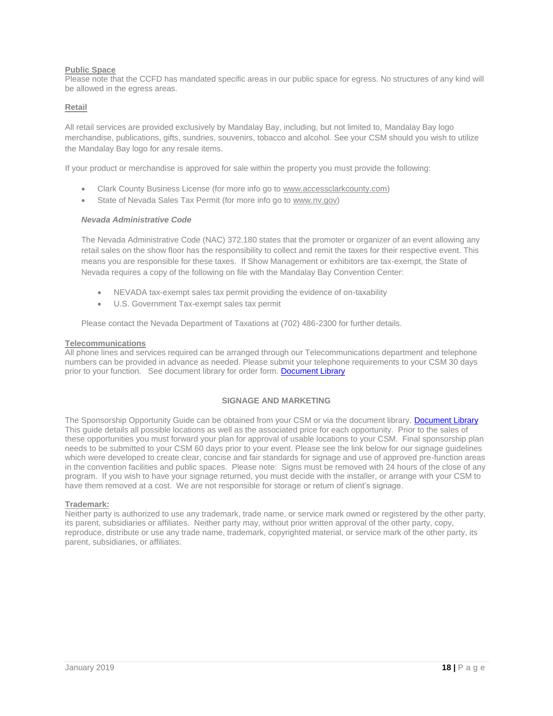# **Public Space**

Please note that the CCFD has mandated specific areas in our public space for egress. No structures of any kind will be allowed in the egress areas.

# **Retail**

All retail services are provided exclusively by Mandalay Bay, including, but not limited to, Mandalay Bay logo merchandise, publications, gifts, sundries, souvenirs, tobacco and alcohol. See your CSM should you wish to utilize the Mandalay Bay logo for any resale items.

If your product or merchandise is approved for sale within the property you must provide the following:

- Clark County Business License (for more info go to [www.accessclarkcounty.com\)](http://www.accessclarkcounty.com/)
- State of Nevada Sales Tax Permit (for more info go to [www.nv.gov\)](http://www.nv.gov/)

### *Nevada Administrative Code*

The Nevada Administrative Code (NAC) 372.180 states that the promoter or organizer of an event allowing any retail sales on the show floor has the responsibility to collect and remit the taxes for their respective event. This means you are responsible for these taxes. If Show Management or exhibitors are tax-exempt, the State of Nevada requires a copy of the following on file with the Mandalay Bay Convention Center:

- NEVADA tax-exempt sales tax permit providing the evidence of on-taxability
- U.S. Government Tax-exempt sales tax permit

Please contact the Nevada Department of Taxations at (702) 486-2300 for further details.

#### **Telecommunications**

All phone lines and services required can be arranged through our Telecommunications department and telephone numbers can be provided in advance as needed. Please submit your telephone requirements to your CSM 30 days prior to your function. See document library for order form. Document Library

### **SIGNAGE AND MARKETING**

The Sponsorship Opportunity Guide can be obtained from your CSM or via the document library. [Document Library](https://www.delanolasvegas.com/en/meetings-groups.html) This guide details all possible locations as well as the associated price for each opportunity. Prior to the sales of these opportunities you must forward your plan for approval of usable locations to your CSM. Final sponsorship plan needs to be submitted to your CSM 60 days prior to your event. Please see the link below for our signage guidelines which were developed to create clear, concise and fair standards for signage and use of approved pre-function areas in the convention facilities and public spaces. Please note: Signs must be removed with 24 hours of the close of any program. If you wish to have your signage returned, you must decide with the installer, or arrange with your CSM to have them removed at a cost. We are not responsible for storage or return of client's signage.

#### **Trademark:**

Neither party is authorized to use any trademark, trade name, or service mark owned or registered by the other party, its parent, subsidiaries or affiliates. Neither party may, without prior written approval of the other party, copy, reproduce, distribute or use any trade name, trademark, copyrighted material, or service mark of the other party, its parent, subsidiaries, or affiliates.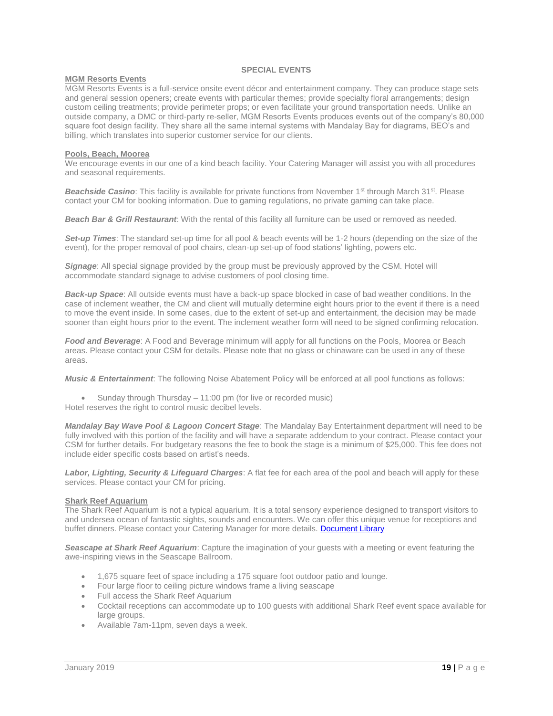# **SPECIAL EVENTS**

### **MGM Resorts Events**

MGM Resorts Events is a full-service onsite event décor and entertainment company. They can produce stage sets and general session openers; create events with particular themes; provide specialty floral arrangements; design custom ceiling treatments; provide perimeter props; or even facilitate your ground transportation needs. Unlike an outside company, a DMC or third-party re-seller, MGM Resorts Events produces events out of the company's 80,000 square foot design facility. They share all the same internal systems with Mandalay Bay for diagrams, BEO's and billing, which translates into superior customer service for our clients.

### **Pools, Beach, Moorea**

We encourage events in our one of a kind beach facility. Your Catering Manager will assist you with all procedures and seasonal requirements.

**Beachside Casino**: This facility is available for private functions from November 1<sup>st</sup> through March 31<sup>st</sup>. Please contact your CM for booking information. Due to gaming regulations, no private gaming can take place.

*Beach Bar & Grill Restaurant*: With the rental of this facility all furniture can be used or removed as needed.

*Set-up Times*: The standard set-up time for all pool & beach events will be 1-2 hours (depending on the size of the event), for the proper removal of pool chairs, clean-up set-up of food stations' lighting, powers etc.

**Signage:** All special signage provided by the group must be previously approved by the CSM. Hotel will accommodate standard signage to advise customers of pool closing time.

*Back-up Space*: All outside events must have a back-up space blocked in case of bad weather conditions. In the case of inclement weather, the CM and client will mutually determine eight hours prior to the event if there is a need to move the event inside. In some cases, due to the extent of set-up and entertainment, the decision may be made sooner than eight hours prior to the event. The inclement weather form will need to be signed confirming relocation.

*Food and Beverage*: A Food and Beverage minimum will apply for all functions on the Pools, Moorea or Beach areas. Please contact your CSM for details. Please note that no glass or chinaware can be used in any of these areas.

*Music & Entertainment*: The following Noise Abatement Policy will be enforced at all pool functions as follows:

• Sunday through Thursday – 11:00 pm (for live or recorded music)

Hotel reserves the right to control music decibel levels.

*Mandalay Bay Wave Pool & Lagoon Concert Stage*: The Mandalay Bay Entertainment department will need to be fully involved with this portion of the facility and will have a separate addendum to your contract. Please contact your CSM for further details. For budgetary reasons the fee to book the stage is a minimum of \$25,000. This fee does not include eider specific costs based on artist's needs.

*Labor, Lighting, Security & Lifeguard Charges*: A flat fee for each area of the pool and beach will apply for these services. Please contact your CM for pricing.

### **Shark Reef Aquarium**

The Shark Reef Aquarium is not a typical aquarium. It is a total sensory experience designed to transport visitors to and undersea ocean of fantastic sights, sounds and encounters. We can offer this unique venue for receptions and buffet dinners. Please contact your Catering Manager for more details. [Document Library](https://www.delanolasvegas.com/en/meetings-groups.html)

*Seascape at Shark Reef Aquarium*: Capture the imagination of your guests with a meeting or event featuring the awe-inspiring views in the Seascape Ballroom.

- 1,675 square feet of space including a 175 square foot outdoor patio and lounge.
- Four large floor to ceiling picture windows frame a living seascape
- Full access the Shark Reef Aquarium
- Cocktail receptions can accommodate up to 100 guests with additional Shark Reef event space available for large groups.
- Available 7am-11pm, seven days a week.